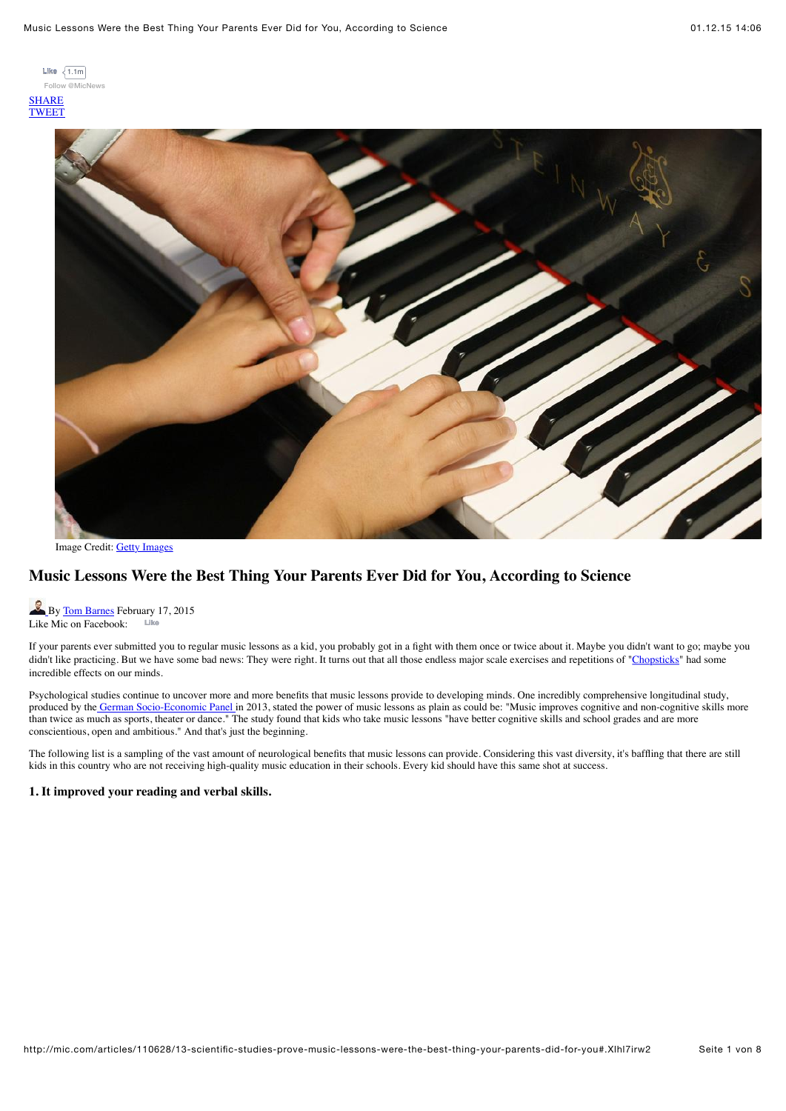[Follow @MicNews](https://twitter.com/intent/follow?original_referer=http%3A%2F%2Fmic.com%2Farticles%2F110628%2F13-scientific-studies-prove-music-lessons-were-the-best-thing-your-parents-did-for-you&ref_src=twsrc%5Etfw®ion=follow_link&screen_name=MicNews&tw_p=followbutton) **[SHARE](http://www.facebook.com/sharer/sharer.php?u=http%3A%2F%2Fmic.com%2Farticles%2F110628%2F13-scientific-studies-prove-music-lessons-were-the-best-thing-your-parents-did-for-you) [TWEET](http://twitter.com/share?original_referer=http%3A%2F%2Fmic.com%2Farticles%2F110628%2F13-scientific-studies-prove-music-lessons-were-the-best-thing-your-parents-did-for-you&related=MicNews&source=tweetbutton&text=Music%20Lessons%20Were%20the%20Best%20Thing%20Your%20Parents%20Ever%20Did%20for%20You%2C%20According%20to%20Science%20by%20%40hotchiligumbo&url=http%3A%2F%2Fmic.com%2Farticles%2F110628%2F13-scientific-studies-prove-music-lessons-were-the-best-thing-your-parents-did-for-you&via=MicNews)** Like  $\left\{ 1.1m \right\}$ 



Image Credit: [Getty Images](http://www.gettyimages.com/)

# **Music Lessons Were the Best Thing Your Parents Ever Did for You, According to Science**

[B](http://mic.com/profiles/18037/tom-barnes)y [Tom Barnes](http://mic.com/profiles/18037/tom-barnes) February 17, 2015 Like Mic on Facebook: **Like**

If your parents ever submitted you to regular music lessons as a kid, you probably got in a fight with them once or twice about it. Maybe you didn't want to go; maybe you didn't like practicing. But we have some bad news: They were right. It turns out that all those endless major scale exercises and repetitions of ["Chopsticks"](https://www.youtube.com/watch?v=hnLl0OMuDX0) had some incredible effects on our minds.

Psychological studies continue to uncover more and more benefits that music lessons provide to developing minds. One incredibly comprehensive longitudinal study, produced by the [German Socio-Economic Panel i](http://www.diw.de/documents/publikationen/73/diw_01.c.429221.de/diw_sp0591.pdf)n 2013, stated the power of music lessons as plain as could be: "Music improves cognitive and non-cognitive skills more than twice as much as sports, theater or dance." The study found that kids who take music lessons "have better cognitive skills and school grades and are more conscientious, open and ambitious." And that's just the beginning.

The following list is a sampling of the vast amount of neurological benefits that music lessons can provide. Considering this vast diversity, it's baffling that there are still kids in this country who are not receiving high-quality music education in their schools. Every kid should have this same shot at success.

#### **1. It improved your reading and verbal skills.**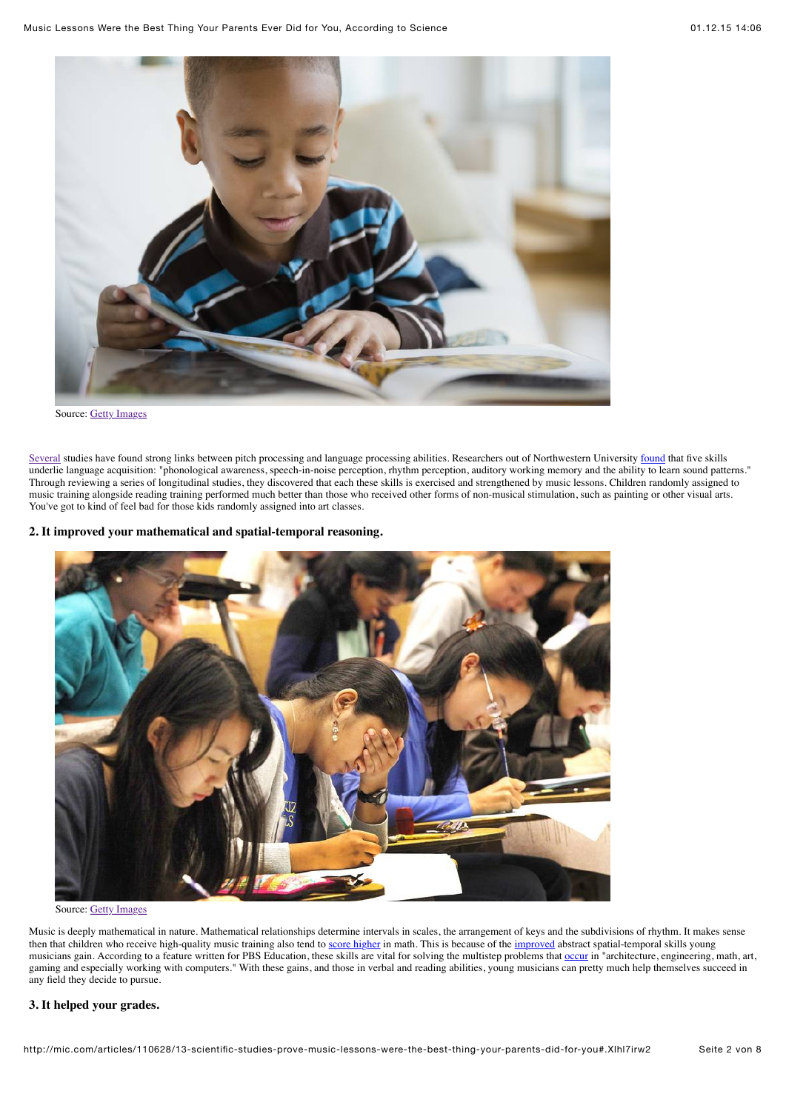

[Several](http://www.ncbi.nlm.nih.gov/pubmed/17943015) studies have [found](http://www.brainvolts.northwestern.edu/documents/Tierney_Kraus_Chapter_2014.pdf) strong links between pitch processing and language processing abilities. Researchers out of Northwestern University found that five skills underlie language acquisition: "phonological awareness, speech-in-noise perception, rhythm perception, auditory working memory and the ability to learn sound patterns." Through reviewing a series of longitudinal studies, they discovered that each these skills is exercised and strengthened by music lessons. Children randomly assigned to music training alongside reading training performed much better than those who received other forms of non-musical stimulation, such as painting or other visual arts. You've got to kind of feel bad for those kids randomly assigned into art classes.

## **2. It improved your mathematical and spatial-temporal reasoning.**



Source: [Getty Images](http://mic.com/articles/110628/13-scientific-studies-prove-music-lessons-were-the-best-thing-your-parents-did-for-you)

Music is deeply mathematical in nature. Mathematical relationships determine intervals in scales, the arrangement of keys and the subdivisions of rhythm. It makes sense then that children who receive high-quality music training also tend to [score higher](http://serendip.brynmawr.edu/exchange/node/1869#1) in math. This is because of the [improved](http://artsedge.kennedy-center.org/champions/pdfs/Involvmt.pdf) abstract spatial-temporal skills young musicians gain. According to a feature written for PBS Education, these skills are vital for solving the multistep problems that [occur](http://www.pbs.org/parents/education/music-arts/the-benefits-of-music-education/) in "architecture, engineering, math, art, gaming and especially working with computers." With these gains, and those in verbal and reading abilities, young musicians can pretty much help themselves succeed in any field they decide to pursue.

## **3. It helped your grades.**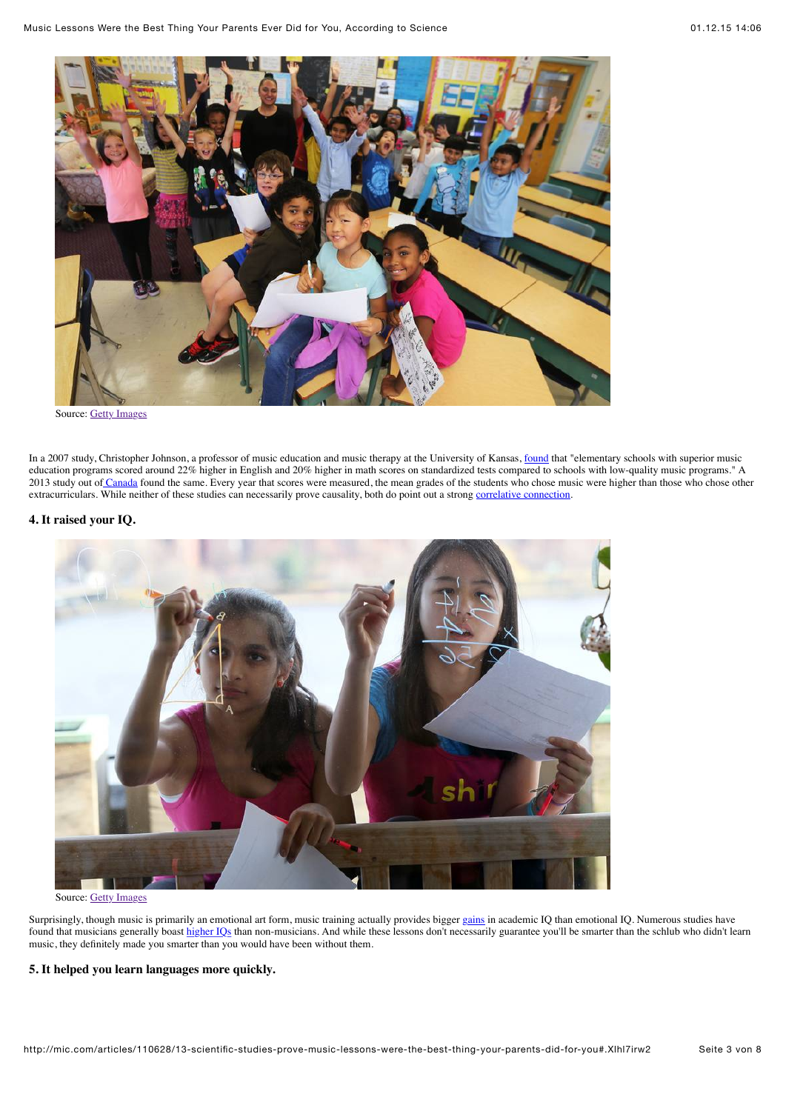

In a 2007 study, Christopher Johnson, a professor of music education and music therapy at the University of Kansas, [found](http://www.pbs.org/parents/education/music-arts/the-benefits-of-music-education/) that "elementary schools with superior music education programs scored around 22% higher in English and 20% higher in math scores on standardized tests compared to schools with low-quality music programs." A 2013 study out o[f Canada](http://www.salon.com/2013/08/27/we_should_all_become_a_band_geeks_partner/) found the same. Every year that scores were measured, the mean grades of the students who chose music were higher than those who chose other extracurriculars. While neither of these studies can necessarily prove causality, both do point out a strong [correlative connection.](http://serendip.brynmawr.edu/exchange/node/1869#1)

# **4. It raised your IQ.**



Source: [Getty Images](http://mic.com/articles/110628/13-scientific-studies-prove-music-lessons-were-the-best-thing-your-parents-did-for-you)

Surprisingly, though music is primarily an emotional art form, music training actually provides bigger [gains](http://www.jstor.org/discover/10.1525/mp.2011.29.2.185?uid=3739256&uid=2&uid=4&sid=21105346449761) in academic IQ than emotional IQ. Numerous studies have found that musicians generally boast [higher IQs](http://phys.org/news142185056.html) than non-musicians. And while these lessons don't necessarily guarantee you'll be smarter than the schlub who didn't learn music, they definitely made you smarter than you would have been without them.

#### **5. It helped you learn languages more quickly.**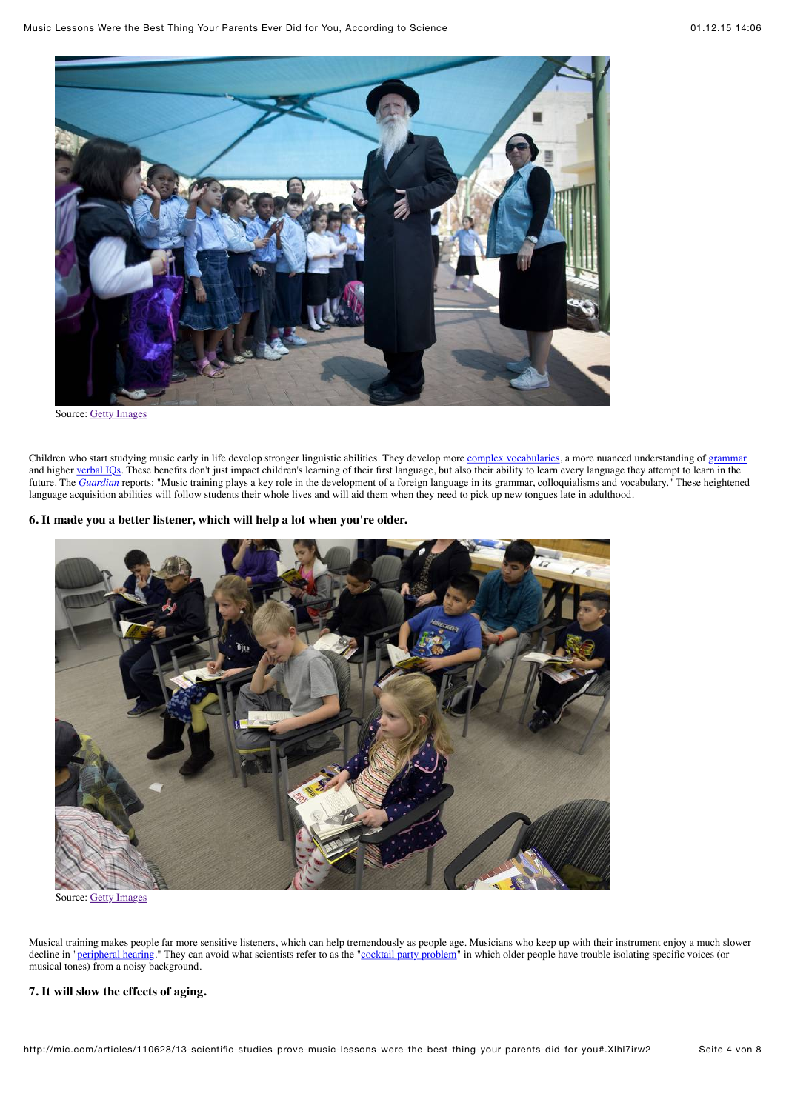

Children who start studying music early in life develop stronger linguistic abilities. They develop more [complex vocabularies](http://link.springer.com/article/10.1007%2Fs12646-013-0180-3), a more nuanced understanding of [grammar](http://mste.illinois.edu/courses/ci407su02/students/stansell/Literature%20Review%201.htm) and higher [verbal IQs.](http://www.ncbi.nlm.nih.gov/pmc/articles/PMC3101523/) These benefits don't just impact children's learning of their first language, but also their ability to learn every language they attempt to learn in the future. The *[Guardian](http://www.theguardian.com/education/2014/feb/27/musicians-better-language-learners)* reports: "Music training plays a key role in the development of a foreign language in its grammar, colloquialisms and vocabulary." These heightened language acquisition abilities will follow students their whole lives and will aid them when they need to pick up new tongues late in adulthood.

#### **6. It made you a better listener, which will help a lot when you're older.**



Source: [Getty Images](http://mic.com/articles/110628/13-scientific-studies-prove-music-lessons-were-the-best-thing-your-parents-did-for-you)

Musical training makes people far more sensitive listeners, which can help tremendously as people age. Musicians who keep up with their instrument enjoy a much slower decline in "[peripheral hearing](http://www.ncbi.nlm.nih.gov/pubmed/21910546)." They can avoid what scientists refer to as the ["cocktail party problem](http://well.blogs.nytimes.com/2012/09/10/early-music-lessons-have-longtime-benefits/?_php=true&_type=blogs&_r=1)" in which older people have trouble isolating specific voices (or musical tones) from a noisy background.

## **7. It will slow the effects of aging.**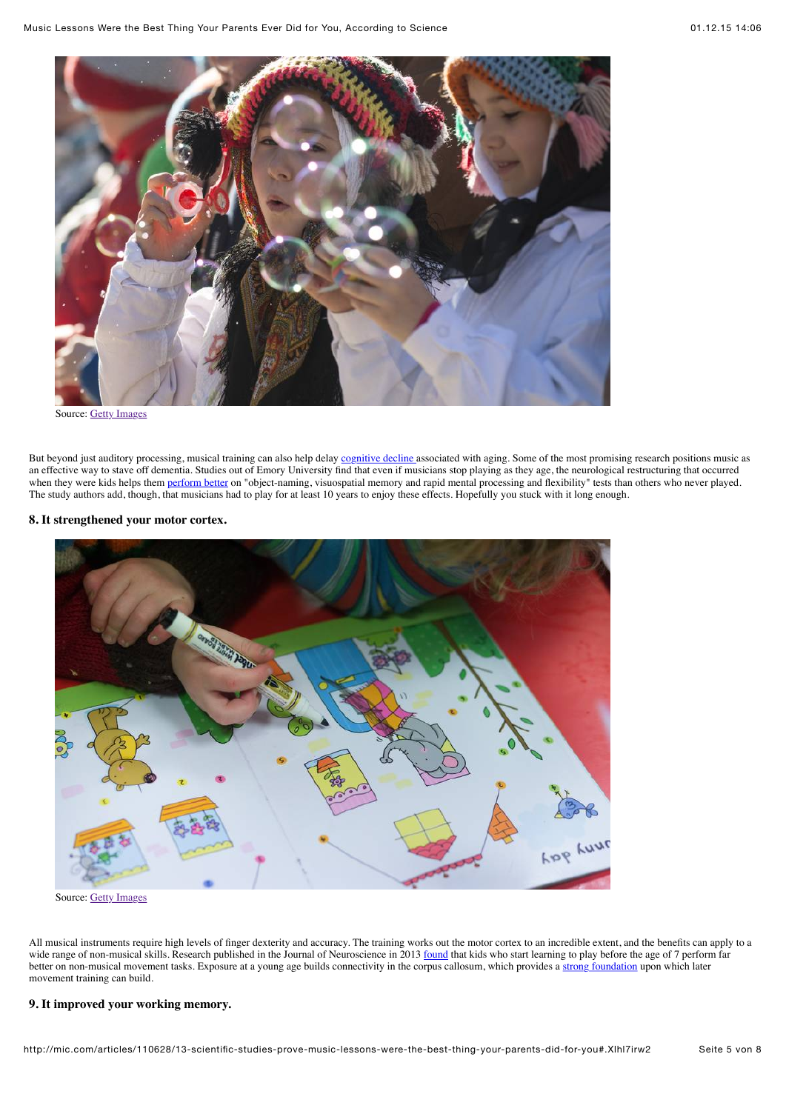

Source: [Getty Images](http://mic.com/articles/110628/13-scientific-studies-prove-music-lessons-were-the-best-thing-your-parents-did-for-you)

But beyond just auditory processing, musical training can also help delay [cognitive decline a](http://www.ncbi.nlm.nih.gov/pmc/articles/PMC2996135/)ssociated with aging. Some of the most promising research positions music as an effective way to stave off dementia. Studies out of Emory University find that even if musicians stop playing as they age, the neurological restructuring that occurred when they were kids helps them [perform better](http://www.cnn.com/2013/08/31/health/music-dementia-link/) on "object-naming, visuospatial memory and rapid mental processing and flexibility" tests than others who never played. The study authors add, though, that musicians had to play for at least 10 years to enjoy these effects. Hopefully you stuck with it long enough.

# **8. It strengthened your motor cortex.**



Source: [Getty Images](http://mic.com/articles/110628/13-scientific-studies-prove-music-lessons-were-the-best-thing-your-parents-did-for-you)

All musical instruments require high levels of finger dexterity and accuracy. The training works out the motor cortex to an incredible extent, and the benefits can apply to a wide range of non-musical skills. Research published in the Journal of Neuroscience in 2013 [found](http://neurosciencenews.com/early-music-lessons-boost-brain-development/) that kids who start learning to play before the age of 7 perform far better on non-musical movement tasks. Exposure at a young age builds connectivity in the corpus callosum, which provides a [strong foundation](http://www.jneurosci.org/content/33/3/1282) upon which later movement training can build.

# **9. It improved your working memory.**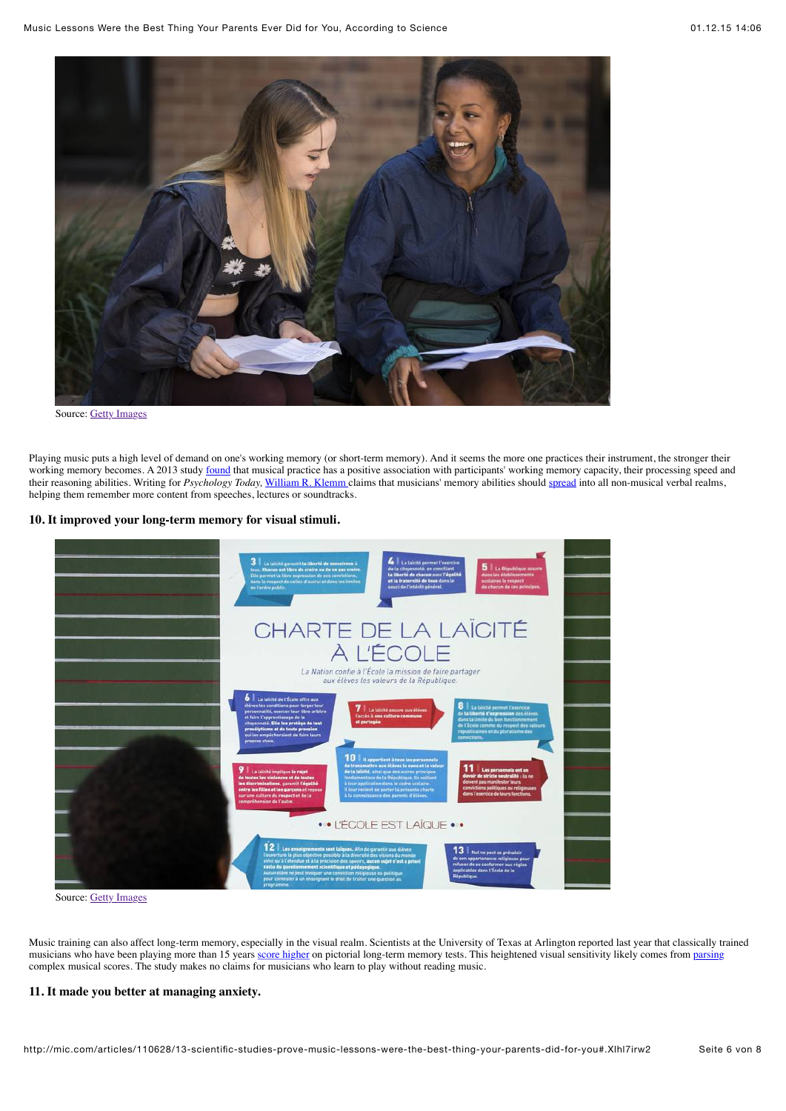

Playing music puts a high level of demand on one's working memory (or short-term memory). And it seems the more one practices their instrument, the stronger their working memory becomes. A 2013 study [found](http://www.ncbi.nlm.nih.gov/pmc/articles/PMC3882720/) that musical practice has a positive association with participants' working memory capacity, their processing speed and their reasoning abilities. Writing for *Psychology Today,* [William R. Klemm](https://www.psychologytoday.com/experts/william-r-klemm-phd) claims that musicians' memory abilities should [spread](https://www.psychologytoday.com/blog/memory-medic/201007/music-training-helps-learning-memory) into all non-musical verbal realms, helping them remember more content from speeches, lectures or soundtracks.

#### **10. It improved your long-term memory for visual stimuli.**



Source: [Getty Images](http://mic.com/articles/110628/13-scientific-studies-prove-music-lessons-were-the-best-thing-your-parents-did-for-you)

Music training can also affect long-term memory, especially in the visual realm. Scientists at the University of Texas at Arlington reported last year that classically trained musicians who have been playing more than 15 years [score higher](http://mic.com/articles/104586/science-just-showed-something-amazing-about-musicians-brains) on pictorial long-term memory tests. This heightened visual sensitivity likely comes from [parsing](http://medicalxpress.com/news/2014-11-musicians-advantages-long-term-memory.html?http://www.uta.edu/news/releases/2014/11/music-memory.php) complex musical scores. The study makes no claims for musicians who learn to play without reading music.

## **11. It made you better at managing anxiety.**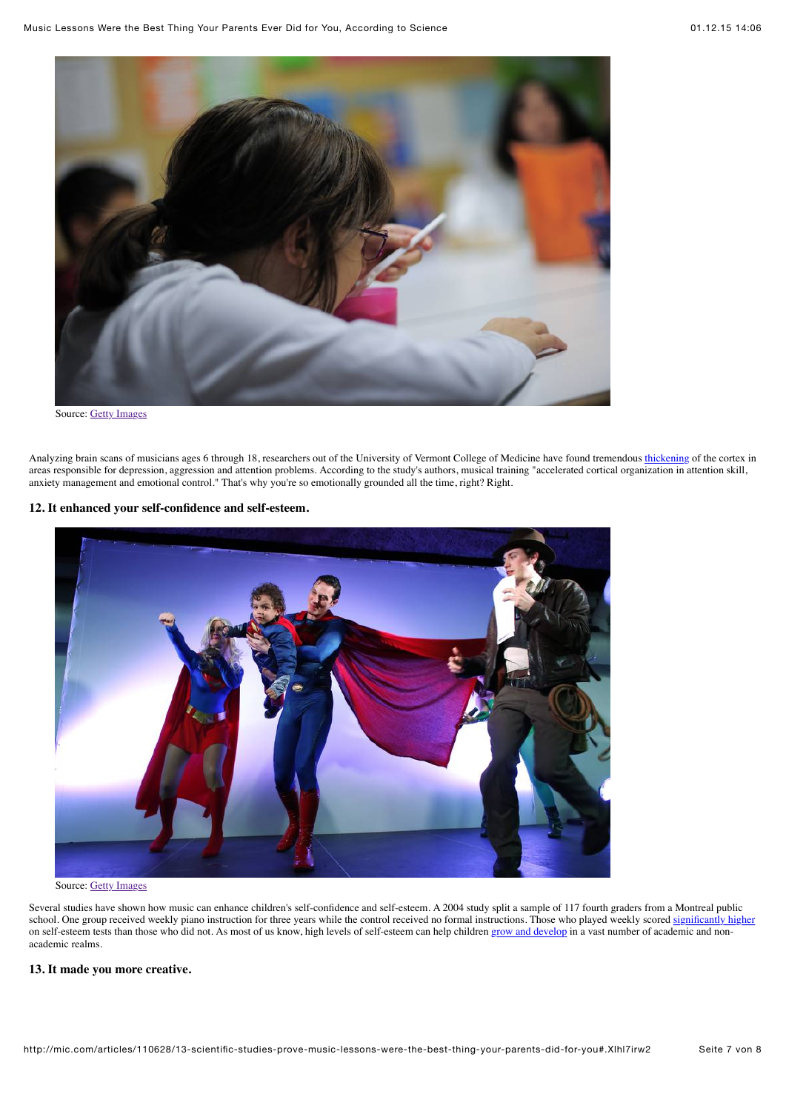

Analyzing brain scans of musicians ages 6 through 18, researchers out of the University of Vermont College of Medicine have found tremendous [thickening](http://www.sciencedaily.com/releases/2014/12/141223132546.htm) of the cortex in areas responsible for depression, aggression and attention problems. According to the study's authors, musical training "accelerated cortical organization in attention skill, anxiety management and emotional control." That's why you're so emotionally grounded all the time, right? Right.

## **12. It enhanced your self-confidence and self-esteem.**



Source: [Getty Images](http://mic.com/articles/110628/13-scientific-studies-prove-music-lessons-were-the-best-thing-your-parents-did-for-you)

Several studies have shown how music can enhance children's self-confidence and self-esteem. A 2004 study split a sample of 117 fourth graders from a Montreal public school. One group received weekly piano instruction for three years while the control received no formal instructions. Those who played weekly scored [significantly higher](http://www.gwern.net/docs/dnb/2004-costa-giomi.pdf) on self-esteem tests than those who did not. As most of us know, high levels of self-esteem can help children [grow and develop](http://www.behavioralconnections.org/poc/view_doc.php?type=doc&id=37615) in a vast number of academic and nonacademic realms.

#### **13. It made you more creative.**